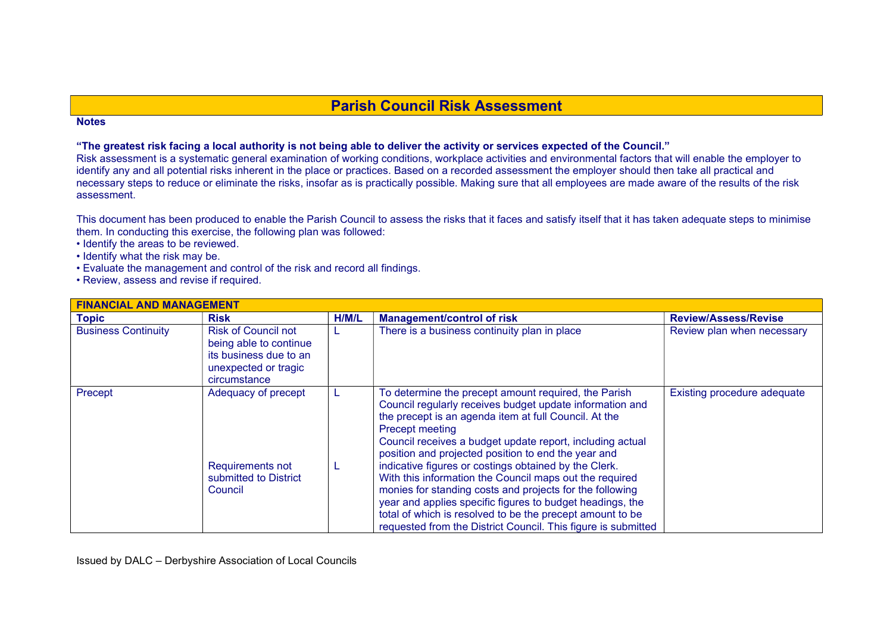## Parish Council Risk Assessment

## **Notes**

## "The greatest risk facing a local authority is not being able to deliver the activity or services expected of the Council."

Risk assessment is a systematic general examination of working conditions, workplace activities and environmental factors that will enable the employer to identify any and all potential risks inherent in the place or practices. Based on a recorded assessment the employer should then take all practical and necessary steps to reduce or eliminate the risks, insofar as is practically possible. Making sure that all employees are made aware of the results of the risk assessment.

This document has been produced to enable the Parish Council to assess the risks that it faces and satisfy itself that it has taken adequate steps to minimise them. In conducting this exercise, the following plan was followed:

- Identify the areas to be reviewed.
- Identify what the risk may be.
- Evaluate the management and control of the risk and record all findings.
- Review, assess and revise if required.

| <b>FINANCIAL AND MANAGEMENT</b> |                                                                                                                        |       |                                                                                                                                                                                                                                                                                                                                                                                                                                                                                                                                                                      |                             |  |
|---------------------------------|------------------------------------------------------------------------------------------------------------------------|-------|----------------------------------------------------------------------------------------------------------------------------------------------------------------------------------------------------------------------------------------------------------------------------------------------------------------------------------------------------------------------------------------------------------------------------------------------------------------------------------------------------------------------------------------------------------------------|-----------------------------|--|
| <b>Topic</b>                    | <b>Risk</b>                                                                                                            | H/M/L | <b>Management/control of risk</b>                                                                                                                                                                                                                                                                                                                                                                                                                                                                                                                                    | <b>Review/Assess/Revise</b> |  |
| <b>Business Continuity</b>      | <b>Risk of Council not</b><br>being able to continue<br>its business due to an<br>unexpected or tragic<br>circumstance |       | There is a business continuity plan in place                                                                                                                                                                                                                                                                                                                                                                                                                                                                                                                         | Review plan when necessary  |  |
| Precept                         | Adequacy of precept<br>Requirements not<br>submitted to District<br>Council                                            |       | To determine the precept amount required, the Parish<br>Council regularly receives budget update information and<br>the precept is an agenda item at full Council. At the<br><b>Precept meeting</b><br>Council receives a budget update report, including actual<br>position and projected position to end the year and<br>indicative figures or costings obtained by the Clerk.<br>With this information the Council maps out the required<br>monies for standing costs and projects for the following<br>year and applies specific figures to budget headings, the | Existing procedure adequate |  |
|                                 |                                                                                                                        |       | total of which is resolved to be the precept amount to be<br>requested from the District Council. This figure is submitted                                                                                                                                                                                                                                                                                                                                                                                                                                           |                             |  |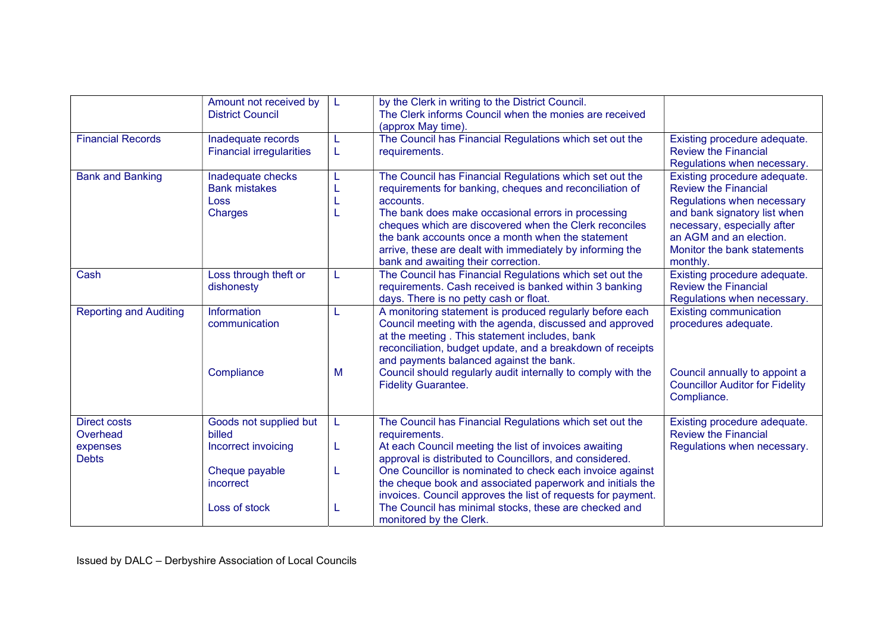|                                 | Amount not received by<br><b>District Council</b>                   |        | by the Clerk in writing to the District Council.<br>The Clerk informs Council when the monies are received<br>(approx May time).                                                                                                                                                                                                                                                                         |                                                                                                                                                                                                                                |
|---------------------------------|---------------------------------------------------------------------|--------|----------------------------------------------------------------------------------------------------------------------------------------------------------------------------------------------------------------------------------------------------------------------------------------------------------------------------------------------------------------------------------------------------------|--------------------------------------------------------------------------------------------------------------------------------------------------------------------------------------------------------------------------------|
| <b>Financial Records</b>        | Inadequate records<br><b>Financial irregularities</b>               | L<br>L | The Council has Financial Regulations which set out the<br>requirements.                                                                                                                                                                                                                                                                                                                                 | Existing procedure adequate.<br><b>Review the Financial</b><br>Regulations when necessary.                                                                                                                                     |
| <b>Bank and Banking</b>         | Inadequate checks<br><b>Bank mistakes</b><br>Loss<br><b>Charges</b> | L      | The Council has Financial Regulations which set out the<br>requirements for banking, cheques and reconciliation of<br>accounts.<br>The bank does make occasional errors in processing<br>cheques which are discovered when the Clerk reconciles<br>the bank accounts once a month when the statement<br>arrive, these are dealt with immediately by informing the<br>bank and awaiting their correction. | Existing procedure adequate.<br><b>Review the Financial</b><br>Regulations when necessary<br>and bank signatory list when<br>necessary, especially after<br>an AGM and an election.<br>Monitor the bank statements<br>monthly. |
| Cash                            | Loss through theft or<br>dishonesty                                 | L      | The Council has Financial Regulations which set out the<br>requirements. Cash received is banked within 3 banking<br>days. There is no petty cash or float.                                                                                                                                                                                                                                              | Existing procedure adequate.<br><b>Review the Financial</b><br>Regulations when necessary.                                                                                                                                     |
| <b>Reporting and Auditing</b>   | Information<br>communication                                        | L      | A monitoring statement is produced regularly before each<br>Council meeting with the agenda, discussed and approved<br>at the meeting. This statement includes, bank<br>reconciliation, budget update, and a breakdown of receipts<br>and payments balanced against the bank.                                                                                                                            | <b>Existing communication</b><br>procedures adequate.                                                                                                                                                                          |
|                                 | Compliance                                                          | M      | Council should regularly audit internally to comply with the<br><b>Fidelity Guarantee.</b>                                                                                                                                                                                                                                                                                                               | Council annually to appoint a<br><b>Councillor Auditor for Fidelity</b><br>Compliance.                                                                                                                                         |
| <b>Direct costs</b><br>Overhead | Goods not supplied but<br>billed                                    | L      | The Council has Financial Regulations which set out the<br>requirements.                                                                                                                                                                                                                                                                                                                                 | Existing procedure adequate.<br><b>Review the Financial</b>                                                                                                                                                                    |
| expenses<br><b>Debts</b>        | Incorrect invoicing                                                 | L      | At each Council meeting the list of invoices awaiting<br>approval is distributed to Councillors, and considered.                                                                                                                                                                                                                                                                                         | Regulations when necessary.                                                                                                                                                                                                    |
|                                 | Cheque payable<br>incorrect                                         | L      | One Councillor is nominated to check each invoice against<br>the cheque book and associated paperwork and initials the<br>invoices. Council approves the list of requests for payment.                                                                                                                                                                                                                   |                                                                                                                                                                                                                                |
|                                 | Loss of stock                                                       |        | The Council has minimal stocks, these are checked and<br>monitored by the Clerk.                                                                                                                                                                                                                                                                                                                         |                                                                                                                                                                                                                                |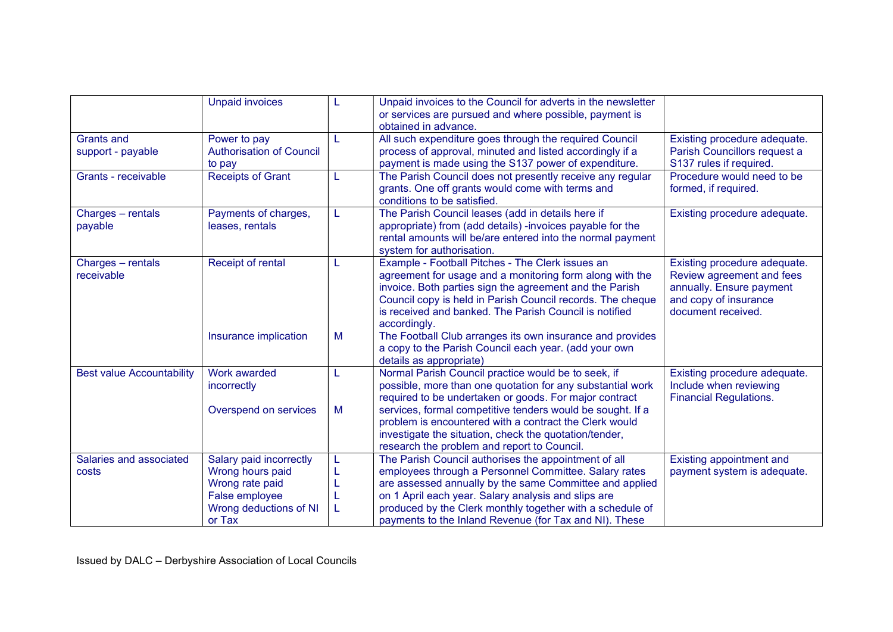|                                        | <b>Unpaid invoices</b>                                                                                               |   | Unpaid invoices to the Council for adverts in the newsletter<br>or services are pursued and where possible, payment is<br>obtained in advance.                                                                                                                                                                                                         |                                                                                                                                      |
|----------------------------------------|----------------------------------------------------------------------------------------------------------------------|---|--------------------------------------------------------------------------------------------------------------------------------------------------------------------------------------------------------------------------------------------------------------------------------------------------------------------------------------------------------|--------------------------------------------------------------------------------------------------------------------------------------|
| <b>Grants and</b><br>support - payable | Power to pay<br><b>Authorisation of Council</b><br>to pay                                                            |   | All such expenditure goes through the required Council<br>process of approval, minuted and listed accordingly if a<br>payment is made using the S137 power of expenditure.                                                                                                                                                                             | Existing procedure adequate.<br>Parish Councillors request a<br>S137 rules if required.                                              |
| Grants - receivable                    | <b>Receipts of Grant</b>                                                                                             | L | The Parish Council does not presently receive any regular<br>grants. One off grants would come with terms and<br>conditions to be satisfied.                                                                                                                                                                                                           | Procedure would need to be<br>formed, if required.                                                                                   |
| Charges - rentals<br>payable           | Payments of charges,<br>leases, rentals                                                                              |   | The Parish Council leases (add in details here if<br>appropriate) from (add details) -invoices payable for the<br>rental amounts will be/are entered into the normal payment<br>system for authorisation.                                                                                                                                              | Existing procedure adequate.                                                                                                         |
| Charges - rentals<br>receivable        | Receipt of rental                                                                                                    |   | Example - Football Pitches - The Clerk issues an<br>agreement for usage and a monitoring form along with the<br>invoice. Both parties sign the agreement and the Parish<br>Council copy is held in Parish Council records. The cheque<br>is received and banked. The Parish Council is notified<br>accordingly.                                        | Existing procedure adequate.<br>Review agreement and fees<br>annually. Ensure payment<br>and copy of insurance<br>document received. |
|                                        | Insurance implication                                                                                                | M | The Football Club arranges its own insurance and provides<br>a copy to the Parish Council each year. (add your own<br>details as appropriate)                                                                                                                                                                                                          |                                                                                                                                      |
| <b>Best value Accountability</b>       | Work awarded<br>incorrectly<br>Overspend on services                                                                 | M | Normal Parish Council practice would be to seek, if<br>possible, more than one quotation for any substantial work<br>required to be undertaken or goods. For major contract<br>services, formal competitive tenders would be sought. If a                                                                                                              | Existing procedure adequate.<br>Include when reviewing<br><b>Financial Regulations.</b>                                              |
|                                        |                                                                                                                      |   | problem is encountered with a contract the Clerk would<br>investigate the situation, check the quotation/tender,<br>research the problem and report to Council.                                                                                                                                                                                        |                                                                                                                                      |
| Salaries and associated<br>costs       | Salary paid incorrectly<br>Wrong hours paid<br>Wrong rate paid<br>False employee<br>Wrong deductions of NI<br>or Tax |   | The Parish Council authorises the appointment of all<br>employees through a Personnel Committee. Salary rates<br>are assessed annually by the same Committee and applied<br>on 1 April each year. Salary analysis and slips are<br>produced by the Clerk monthly together with a schedule of<br>payments to the Inland Revenue (for Tax and NI). These | Existing appointment and<br>payment system is adequate.                                                                              |

Issued by DALC – Derbyshire Association of Local Councils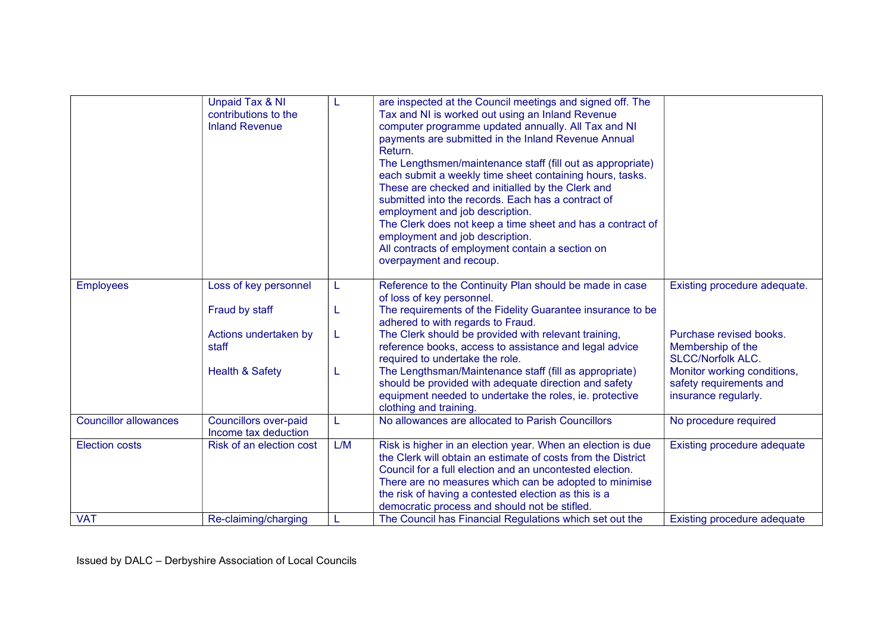|                              | <b>Unpaid Tax &amp; NI</b><br>contributions to the<br><b>Inland Revenue</b> | L      | are inspected at the Council meetings and signed off. The<br>Tax and NI is worked out using an Inland Revenue<br>computer programme updated annually. All Tax and NI<br>payments are submitted in the Inland Revenue Annual<br>Return.<br>The Lengthsmen/maintenance staff (fill out as appropriate)<br>each submit a weekly time sheet containing hours, tasks.<br>These are checked and initialled by the Clerk and<br>submitted into the records. Each has a contract of<br>employment and job description.<br>The Clerk does not keep a time sheet and has a contract of<br>employment and job description.<br>All contracts of employment contain a section on<br>overpayment and recoup. |                                                                                |
|------------------------------|-----------------------------------------------------------------------------|--------|------------------------------------------------------------------------------------------------------------------------------------------------------------------------------------------------------------------------------------------------------------------------------------------------------------------------------------------------------------------------------------------------------------------------------------------------------------------------------------------------------------------------------------------------------------------------------------------------------------------------------------------------------------------------------------------------|--------------------------------------------------------------------------------|
| <b>Employees</b>             | Loss of key personnel<br>Fraud by staff                                     | L<br>L | Reference to the Continuity Plan should be made in case<br>of loss of key personnel.<br>The requirements of the Fidelity Guarantee insurance to be                                                                                                                                                                                                                                                                                                                                                                                                                                                                                                                                             | Existing procedure adequate.                                                   |
|                              |                                                                             |        | adhered to with regards to Fraud.                                                                                                                                                                                                                                                                                                                                                                                                                                                                                                                                                                                                                                                              |                                                                                |
|                              | Actions undertaken by<br>staff                                              | L      | The Clerk should be provided with relevant training,<br>reference books, access to assistance and legal advice<br>required to undertake the role.                                                                                                                                                                                                                                                                                                                                                                                                                                                                                                                                              | Purchase revised books.<br>Membership of the<br><b>SLCC/Norfolk ALC.</b>       |
|                              | <b>Health &amp; Safety</b>                                                  | L      | The Lengthsman/Maintenance staff (fill as appropriate)<br>should be provided with adequate direction and safety<br>equipment needed to undertake the roles, ie. protective<br>clothing and training.                                                                                                                                                                                                                                                                                                                                                                                                                                                                                           | Monitor working conditions,<br>safety requirements and<br>insurance regularly. |
| <b>Councillor allowances</b> | <b>Councillors over-paid</b><br>Income tax deduction                        | L      | No allowances are allocated to Parish Councillors                                                                                                                                                                                                                                                                                                                                                                                                                                                                                                                                                                                                                                              | No procedure required                                                          |
| <b>Election costs</b>        | Risk of an election cost                                                    | L/M    | Risk is higher in an election year. When an election is due<br>the Clerk will obtain an estimate of costs from the District<br>Council for a full election and an uncontested election.<br>There are no measures which can be adopted to minimise<br>the risk of having a contested election as this is a<br>democratic process and should not be stifled.                                                                                                                                                                                                                                                                                                                                     | Existing procedure adequate                                                    |
| <b>VAT</b>                   | Re-claiming/charging                                                        | L      | The Council has Financial Regulations which set out the                                                                                                                                                                                                                                                                                                                                                                                                                                                                                                                                                                                                                                        | <b>Existing procedure adequate</b>                                             |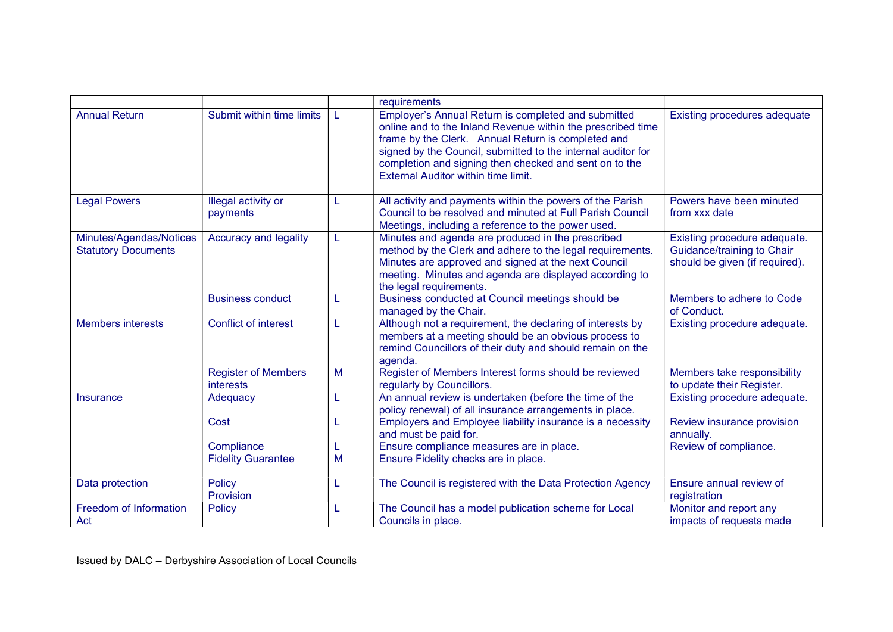|                                                       |                                         |   | requirements                                                                                                                                                                                                                                                                                                                                     |                                                                                              |
|-------------------------------------------------------|-----------------------------------------|---|--------------------------------------------------------------------------------------------------------------------------------------------------------------------------------------------------------------------------------------------------------------------------------------------------------------------------------------------------|----------------------------------------------------------------------------------------------|
| <b>Annual Return</b>                                  | Submit within time limits               |   | Employer's Annual Return is completed and submitted<br>online and to the Inland Revenue within the prescribed time<br>frame by the Clerk. Annual Return is completed and<br>signed by the Council, submitted to the internal auditor for<br>completion and signing then checked and sent on to the<br><b>External Auditor within time limit.</b> | Existing procedures adequate                                                                 |
| <b>Legal Powers</b>                                   | Illegal activity or<br>payments         | L | All activity and payments within the powers of the Parish<br>Council to be resolved and minuted at Full Parish Council<br>Meetings, including a reference to the power used.                                                                                                                                                                     | Powers have been minuted<br>from xxx date                                                    |
| Minutes/Agendas/Notices<br><b>Statutory Documents</b> | Accuracy and legality                   | L | Minutes and agenda are produced in the prescribed<br>method by the Clerk and adhere to the legal requirements.<br>Minutes are approved and signed at the next Council<br>meeting. Minutes and agenda are displayed according to<br>the legal requirements.                                                                                       | Existing procedure adequate.<br>Guidance/training to Chair<br>should be given (if required). |
|                                                       | <b>Business conduct</b>                 | L | Business conducted at Council meetings should be<br>managed by the Chair.                                                                                                                                                                                                                                                                        | Members to adhere to Code<br>of Conduct.                                                     |
| <b>Members interests</b>                              | <b>Conflict of interest</b>             | L | Although not a requirement, the declaring of interests by<br>members at a meeting should be an obvious process to<br>remind Councillors of their duty and should remain on the<br>agenda.                                                                                                                                                        | Existing procedure adequate.                                                                 |
|                                                       | <b>Register of Members</b><br>interests | M | Register of Members Interest forms should be reviewed<br>regularly by Councillors.                                                                                                                                                                                                                                                               | Members take responsibility<br>to update their Register.                                     |
| Insurance                                             | Adequacy                                | L | An annual review is undertaken (before the time of the<br>policy renewal) of all insurance arrangements in place.                                                                                                                                                                                                                                | Existing procedure adequate.                                                                 |
|                                                       | Cost                                    | L | Employers and Employee liability insurance is a necessity<br>and must be paid for.                                                                                                                                                                                                                                                               | Review insurance provision<br>annually.                                                      |
|                                                       | Compliance                              | L | Ensure compliance measures are in place.                                                                                                                                                                                                                                                                                                         | Review of compliance.                                                                        |
|                                                       | <b>Fidelity Guarantee</b>               | M | Ensure Fidelity checks are in place.                                                                                                                                                                                                                                                                                                             |                                                                                              |
| Data protection                                       | Policy<br>Provision                     | L | The Council is registered with the Data Protection Agency                                                                                                                                                                                                                                                                                        | Ensure annual review of<br>registration                                                      |
| Freedom of Information<br>Act                         | Policy                                  | L | The Council has a model publication scheme for Local<br>Councils in place.                                                                                                                                                                                                                                                                       | Monitor and report any<br>impacts of requests made                                           |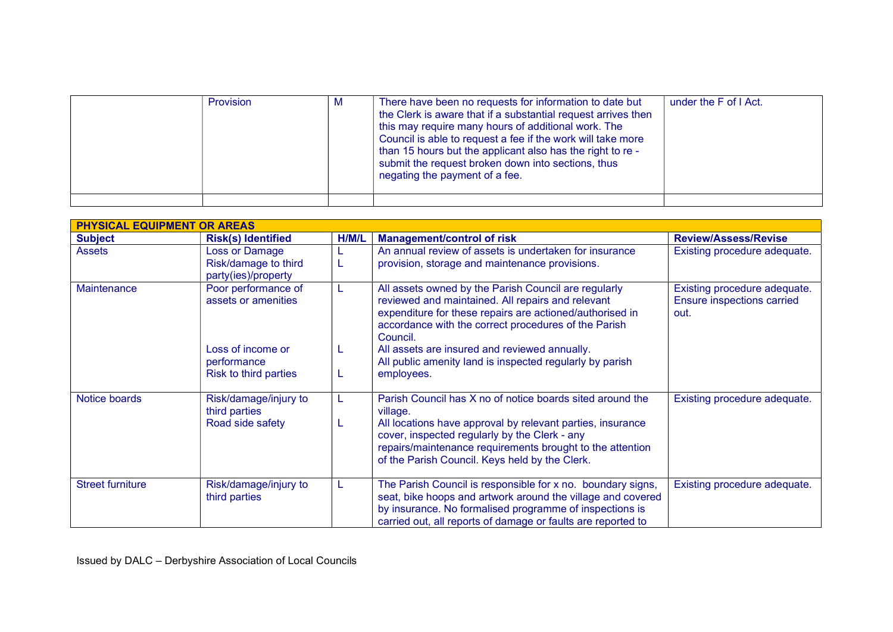| Provision | M | There have been no requests for information to date but<br>the Clerk is aware that if a substantial request arrives then<br>this may require many hours of additional work. The<br>Council is able to request a fee if the work will take more<br>than 15 hours but the applicant also has the right to re -<br>submit the request broken down into sections, thus<br>negating the payment of a fee. | under the F of I Act. |
|-----------|---|------------------------------------------------------------------------------------------------------------------------------------------------------------------------------------------------------------------------------------------------------------------------------------------------------------------------------------------------------------------------------------------------------|-----------------------|
|           |   |                                                                                                                                                                                                                                                                                                                                                                                                      |                       |

| <b>PHYSICAL EQUIPMENT OR AREAS</b> |                                                               |        |                                                                                                                                                                                                                                                                                                     |                                                                    |  |
|------------------------------------|---------------------------------------------------------------|--------|-----------------------------------------------------------------------------------------------------------------------------------------------------------------------------------------------------------------------------------------------------------------------------------------------------|--------------------------------------------------------------------|--|
| <b>Subject</b>                     | <b>Risk(s) Identified</b>                                     | H/M/L  | <b>Management/control of risk</b>                                                                                                                                                                                                                                                                   | <b>Review/Assess/Revise</b>                                        |  |
| <b>Assets</b>                      | Loss or Damage<br>Risk/damage to third<br>party(ies)/property |        | An annual review of assets is undertaken for insurance<br>provision, storage and maintenance provisions.                                                                                                                                                                                            | Existing procedure adequate.                                       |  |
| Maintenance                        | Poor performance of<br>assets or amenities                    |        | All assets owned by the Parish Council are regularly<br>reviewed and maintained. All repairs and relevant<br>expenditure for these repairs are actioned/authorised in<br>accordance with the correct procedures of the Parish<br>Council.                                                           | Existing procedure adequate.<br>Ensure inspections carried<br>out. |  |
|                                    | Loss of income or<br>performance<br>Risk to third parties     | L<br>L | All assets are insured and reviewed annually.<br>All public amenity land is inspected regularly by parish<br>employees.                                                                                                                                                                             |                                                                    |  |
| Notice boards                      | Risk/damage/injury to<br>third parties<br>Road side safety    | L      | Parish Council has X no of notice boards sited around the<br>village.<br>All locations have approval by relevant parties, insurance<br>cover, inspected regularly by the Clerk - any<br>repairs/maintenance requirements brought to the attention<br>of the Parish Council. Keys held by the Clerk. | Existing procedure adequate.                                       |  |
| <b>Street furniture</b>            | Risk/damage/injury to<br>third parties                        |        | The Parish Council is responsible for x no. boundary signs,<br>seat, bike hoops and artwork around the village and covered<br>by insurance. No formalised programme of inspections is<br>carried out, all reports of damage or faults are reported to                                               | Existing procedure adequate.                                       |  |